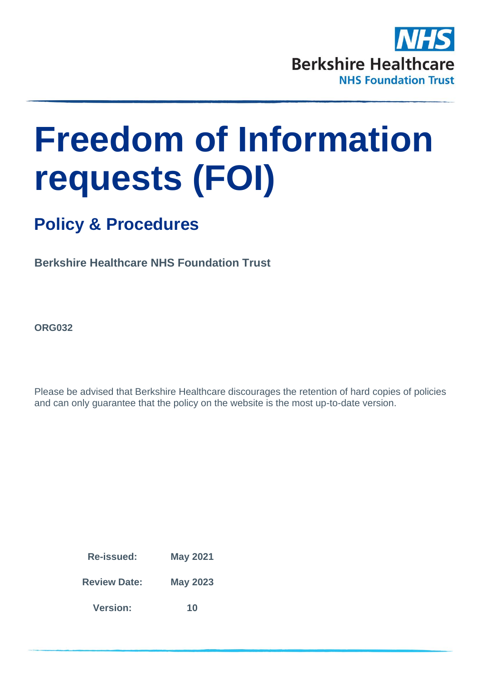

# **Freedom of Information requests (FOI)**

# **Policy & Procedures**

**Berkshire Healthcare NHS Foundation Trust**

**ORG032**

Please be advised that Berkshire Healthcare discourages the retention of hard copies of policies and can only guarantee that the policy on the website is the most up-to-date version.

> **Re-issued: May 2021 Review Date: May 2023 Version: 10**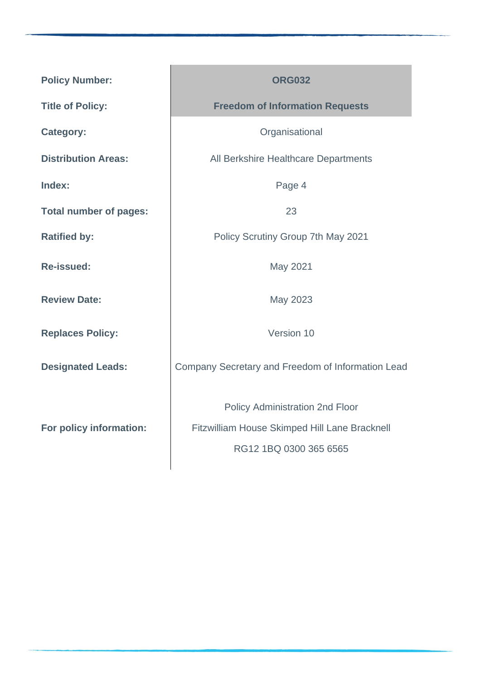| <b>Policy Number:</b>         | <b>ORG032</b>                                                                                                     |
|-------------------------------|-------------------------------------------------------------------------------------------------------------------|
| <b>Title of Policy:</b>       | <b>Freedom of Information Requests</b>                                                                            |
| <b>Category:</b>              | Organisational                                                                                                    |
| <b>Distribution Areas:</b>    | All Berkshire Healthcare Departments                                                                              |
| Index:                        | Page 4                                                                                                            |
| <b>Total number of pages:</b> | 23                                                                                                                |
| <b>Ratified by:</b>           | Policy Scrutiny Group 7th May 2021                                                                                |
| <b>Re-issued:</b>             | May 2021                                                                                                          |
| <b>Review Date:</b>           | May 2023                                                                                                          |
| <b>Replaces Policy:</b>       | Version 10                                                                                                        |
| <b>Designated Leads:</b>      | Company Secretary and Freedom of Information Lead                                                                 |
| For policy information:       | <b>Policy Administration 2nd Floor</b><br>Fitzwilliam House Skimped Hill Lane Bracknell<br>RG12 1BQ 0300 365 6565 |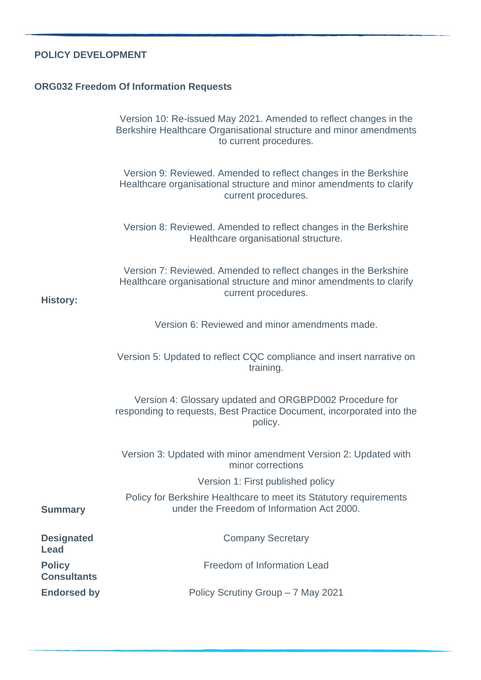### **POLICY DEVELOPMENT**

### **ORG032 Freedom Of Information Requests**

|                                     | Version 10: Re-issued May 2021. Amended to reflect changes in the<br>Berkshire Healthcare Organisational structure and minor amendments<br>to current procedures. |
|-------------------------------------|-------------------------------------------------------------------------------------------------------------------------------------------------------------------|
|                                     | Version 9: Reviewed. Amended to reflect changes in the Berkshire<br>Healthcare organisational structure and minor amendments to clarify<br>current procedures.    |
|                                     | Version 8: Reviewed. Amended to reflect changes in the Berkshire<br>Healthcare organisational structure.                                                          |
| <b>History:</b>                     | Version 7: Reviewed. Amended to reflect changes in the Berkshire<br>Healthcare organisational structure and minor amendments to clarify<br>current procedures.    |
|                                     | Version 6: Reviewed and minor amendments made.                                                                                                                    |
|                                     | Version 5: Updated to reflect CQC compliance and insert narrative on<br>training.                                                                                 |
|                                     | Version 4: Glossary updated and ORGBPD002 Procedure for<br>responding to requests, Best Practice Document, incorporated into the<br>policy.                       |
|                                     | Version 3: Updated with minor amendment Version 2: Updated with<br>minor corrections                                                                              |
|                                     | Version 1: First published policy                                                                                                                                 |
| <b>Summary</b>                      | Policy for Berkshire Healthcare to meet its Statutory requirements<br>under the Freedom of Information Act 2000.                                                  |
| <b>Designated</b><br>Lead           | <b>Company Secretary</b>                                                                                                                                          |
| <b>Policy</b><br><b>Consultants</b> | Freedom of Information Lead                                                                                                                                       |
| <b>Endorsed by</b>                  | Policy Scrutiny Group - 7 May 2021                                                                                                                                |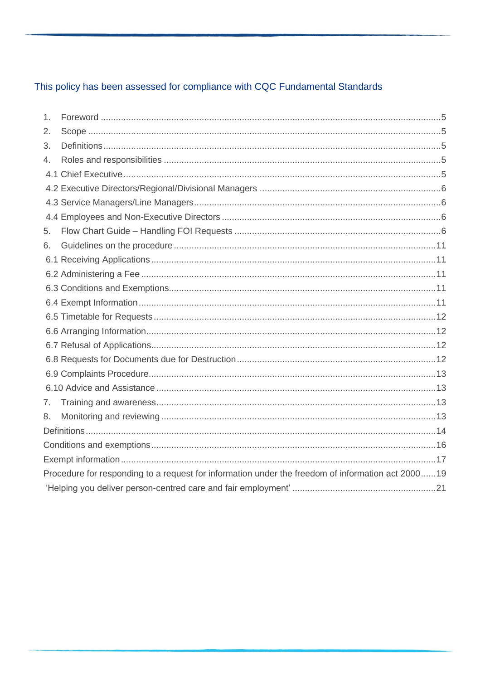# This policy has been assessed for compliance with CQC Fundamental Standards

| 1. |                                                                                                   |  |
|----|---------------------------------------------------------------------------------------------------|--|
| 2. |                                                                                                   |  |
| 3. |                                                                                                   |  |
| 4. |                                                                                                   |  |
|    |                                                                                                   |  |
|    |                                                                                                   |  |
|    |                                                                                                   |  |
|    |                                                                                                   |  |
| 5. |                                                                                                   |  |
| 6. |                                                                                                   |  |
|    |                                                                                                   |  |
|    |                                                                                                   |  |
|    |                                                                                                   |  |
|    |                                                                                                   |  |
|    |                                                                                                   |  |
|    |                                                                                                   |  |
|    |                                                                                                   |  |
|    |                                                                                                   |  |
|    |                                                                                                   |  |
|    |                                                                                                   |  |
| 7. |                                                                                                   |  |
| 8. |                                                                                                   |  |
|    |                                                                                                   |  |
|    |                                                                                                   |  |
|    |                                                                                                   |  |
|    | Procedure for responding to a request for information under the freedom of information act 200019 |  |
|    |                                                                                                   |  |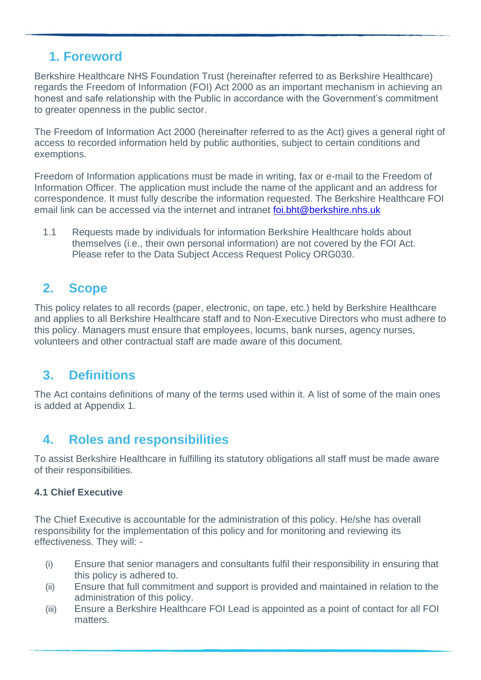# <span id="page-4-0"></span>**1. Foreword**

Berkshire Healthcare NHS Foundation Trust (hereinafter referred to as Berkshire Healthcare) regards the Freedom of Information (FOI) Act 2000 as an important mechanism in achieving an honest and safe relationship with the Public in accordance with the Government's commitment to greater openness in the public sector.

The Freedom of Information Act 2000 (hereinafter referred to as the Act) gives a general right of access to recorded information held by public authorities, subject to certain conditions and exemptions.

Freedom of Information applications must be made in writing, fax or e-mail to the Freedom of Information Officer. The application must include the name of the applicant and an address for correspondence. It must fully describe the information requested. The Berkshire Healthcare FOI email link can be accessed via the internet and intranet [foi.bht@berkshire.nhs.uk](mailto:foi.bht@berkshire.nhs.uk)

1.1 Requests made by individuals for information Berkshire Healthcare holds about themselves (i.e., their own personal information) are not covered by the FOI Act. Please refer to the Data Subject Access Request Policy ORG030.

# <span id="page-4-1"></span>**2. Scope**

This policy relates to all records (paper, electronic, on tape, etc.) held by Berkshire Healthcare and applies to all Berkshire Healthcare staff and to Non-Executive Directors who must adhere to this policy. Managers must ensure that employees, locums, bank nurses, agency nurses, volunteers and other contractual staff are made aware of this document.

# <span id="page-4-2"></span>**3. Definitions**

The Act contains definitions of many of the terms used within it. A list of some of the main ones is added at Appendix 1.

# <span id="page-4-3"></span>**4. Roles and responsibilities**

To assist Berkshire Healthcare in fulfilling its statutory obligations all staff must be made aware of their responsibilities.

#### <span id="page-4-4"></span>**4.1 Chief Executive**

The Chief Executive is accountable for the administration of this policy. He/she has overall responsibility for the implementation of this policy and for monitoring and reviewing its effectiveness. They will: -

- (i) Ensure that senior managers and consultants fulfil their responsibility in ensuring that this policy is adhered to.
- (ii) Ensure that full commitment and support is provided and maintained in relation to the administration of this policy.
- (iii) Ensure a Berkshire Healthcare FOI Lead is appointed as a point of contact for all FOI matters.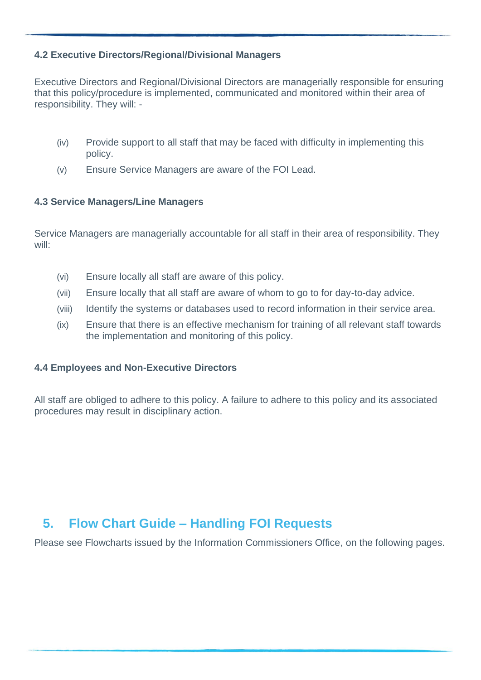#### <span id="page-5-0"></span>**4.2 Executive Directors/Regional/Divisional Managers**

Executive Directors and Regional/Divisional Directors are managerially responsible for ensuring that this policy/procedure is implemented, communicated and monitored within their area of responsibility. They will: -

- (iv) Provide support to all staff that may be faced with difficulty in implementing this policy.
- (v) Ensure Service Managers are aware of the FOI Lead.

#### <span id="page-5-1"></span>**4.3 Service Managers/Line Managers**

Service Managers are managerially accountable for all staff in their area of responsibility. They will:

- (vi) Ensure locally all staff are aware of this policy.
- (vii) Ensure locally that all staff are aware of whom to go to for day-to-day advice.
- (viii) Identify the systems or databases used to record information in their service area.
- (ix) Ensure that there is an effective mechanism for training of all relevant staff towards the implementation and monitoring of this policy.

#### <span id="page-5-2"></span>**4.4 Employees and Non-Executive Directors**

All staff are obliged to adhere to this policy. A failure to adhere to this policy and its associated procedures may result in disciplinary action.

## <span id="page-5-3"></span>**5. Flow Chart Guide – Handling FOI Requests**

Please see Flowcharts issued by the Information Commissioners Office, on the following pages.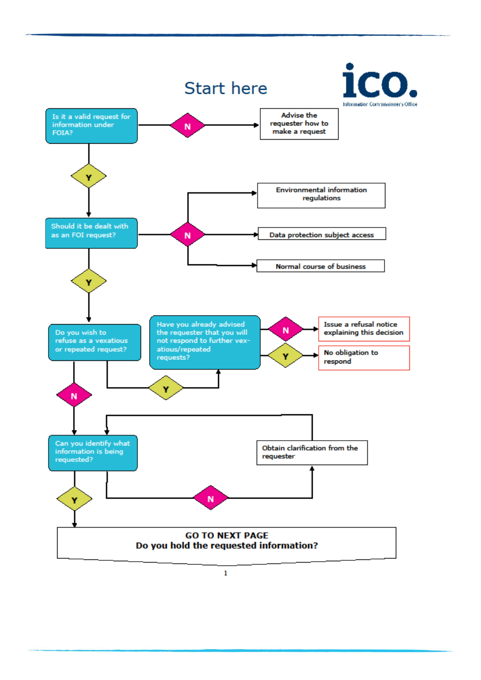

I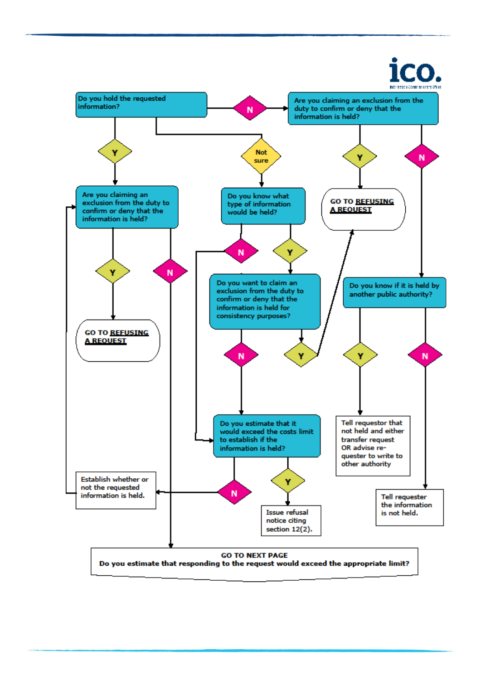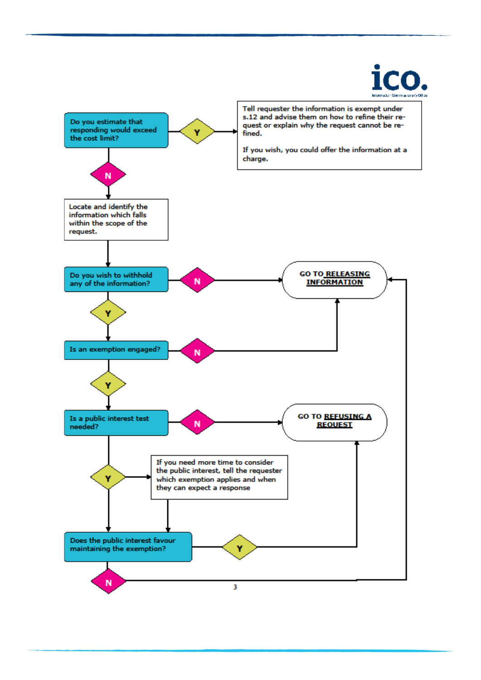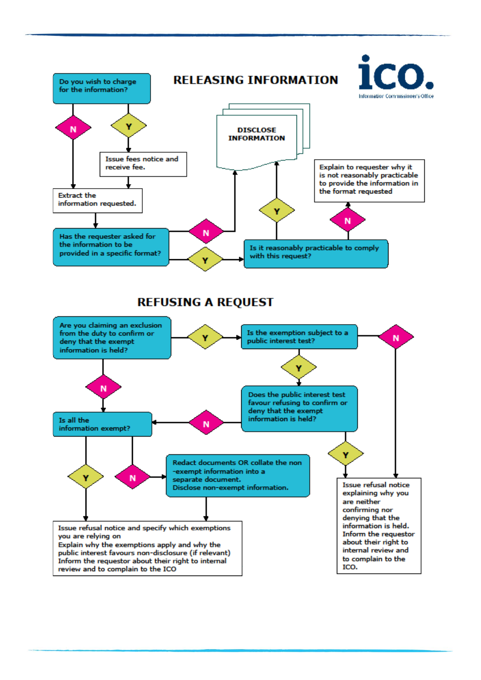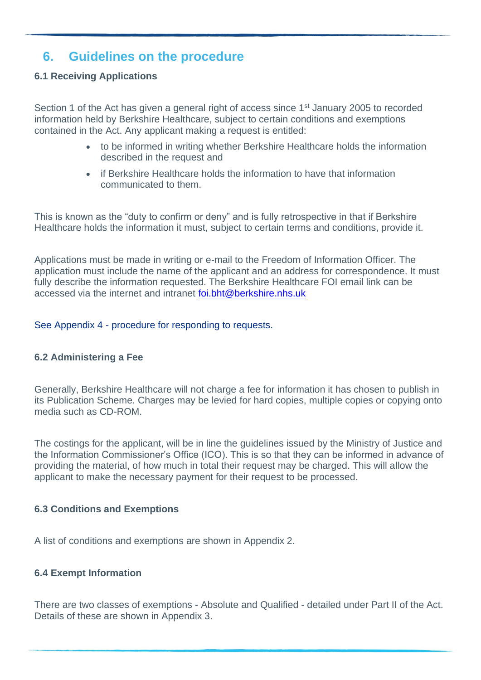## <span id="page-10-0"></span>**6. Guidelines on the procedure**

#### <span id="page-10-1"></span>**6.1 Receiving Applications**

Section 1 of the Act has given a general right of access since 1<sup>st</sup> January 2005 to recorded information held by Berkshire Healthcare, subject to certain conditions and exemptions contained in the Act. Any applicant making a request is entitled:

- to be informed in writing whether Berkshire Healthcare holds the information described in the request and
- if Berkshire Healthcare holds the information to have that information communicated to them.

This is known as the "duty to confirm or deny" and is fully retrospective in that if Berkshire Healthcare holds the information it must, subject to certain terms and conditions, provide it.

Applications must be made in writing or e-mail to the Freedom of Information Officer. The application must include the name of the applicant and an address for correspondence. It must fully describe the information requested. The Berkshire Healthcare FOI email link can be accessed via the internet and intranet [foi.bht@berkshire.nhs.uk](mailto:foi.bht@berkshire.nhs.uk)

See Appendix 4 - procedure for responding to requests.

#### <span id="page-10-2"></span>**6.2 Administering a Fee**

Generally, Berkshire Healthcare will not charge a fee for information it has chosen to publish in its Publication Scheme. Charges may be levied for hard copies, multiple copies or copying onto media such as CD-ROM.

The costings for the applicant, will be in line the guidelines issued by the Ministry of Justice and the Information Commissioner's Office (ICO). This is so that they can be informed in advance of providing the material, of how much in total their request may be charged. This will allow the applicant to make the necessary payment for their request to be processed.

#### <span id="page-10-3"></span>**6.3 Conditions and Exemptions**

A list of conditions and exemptions are shown in Appendix 2.

#### <span id="page-10-4"></span>**6.4 Exempt Information**

There are two classes of exemptions - Absolute and Qualified - detailed under Part II of the Act. Details of these are shown in Appendix 3.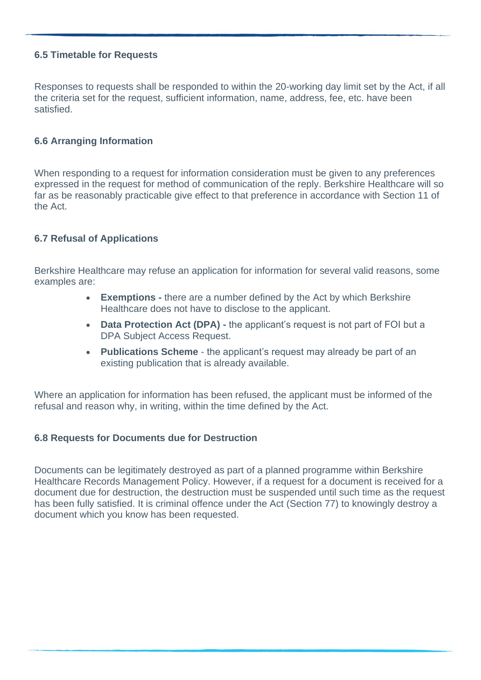#### <span id="page-11-0"></span>**6.5 Timetable for Requests**

Responses to requests shall be responded to within the 20-working day limit set by the Act, if all the criteria set for the request, sufficient information, name, address, fee, etc. have been satisfied.

#### <span id="page-11-1"></span>**6.6 Arranging Information**

When responding to a request for information consideration must be given to any preferences expressed in the request for method of communication of the reply. Berkshire Healthcare will so far as be reasonably practicable give effect to that preference in accordance with Section 11 of the Act.

#### <span id="page-11-2"></span>**6.7 Refusal of Applications**

Berkshire Healthcare may refuse an application for information for several valid reasons, some examples are:

- **Exemptions -** there are a number defined by the Act by which Berkshire Healthcare does not have to disclose to the applicant.
- **Data Protection Act (DPA) -** the applicant's request is not part of FOI but a DPA Subject Access Request.
- **Publications Scheme**  the applicant's request may already be part of an existing publication that is already available.

Where an application for information has been refused, the applicant must be informed of the refusal and reason why, in writing, within the time defined by the Act.

#### <span id="page-11-3"></span>**6.8 Requests for Documents due for Destruction**

Documents can be legitimately destroyed as part of a planned programme within Berkshire Healthcare Records Management Policy. However, if a request for a document is received for a document due for destruction, the destruction must be suspended until such time as the request has been fully satisfied. It is criminal offence under the Act (Section 77) to knowingly destroy a document which you know has been requested.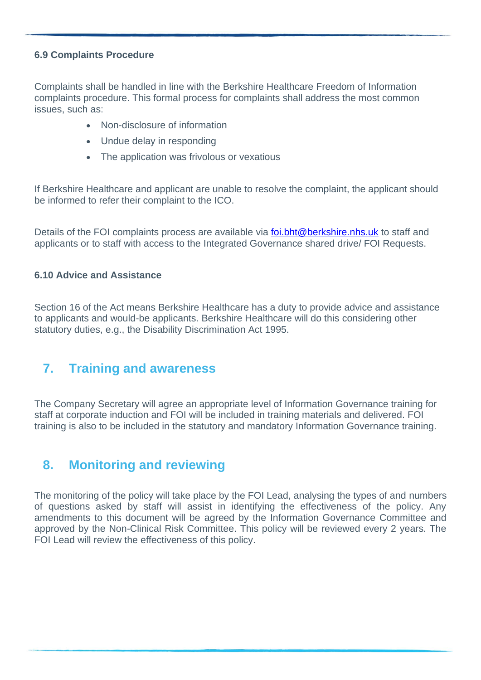#### <span id="page-12-0"></span>**6.9 Complaints Procedure**

Complaints shall be handled in line with the Berkshire Healthcare Freedom of Information complaints procedure. This formal process for complaints shall address the most common issues, such as:

- Non-disclosure of information
- Undue delay in responding
- The application was frivolous or vexatious

If Berkshire Healthcare and applicant are unable to resolve the complaint, the applicant should be informed to refer their complaint to the ICO.

Details of the FOI complaints process are available via [foi.bht@berkshire.nhs.uk](mailto:foi.bht@berkshire.nhs.uk) to staff and applicants or to staff with access to the Integrated Governance shared drive/ FOI Requests.

#### <span id="page-12-1"></span>**6.10 Advice and Assistance**

Section 16 of the Act means Berkshire Healthcare has a duty to provide advice and assistance to applicants and would-be applicants. Berkshire Healthcare will do this considering other statutory duties, e.g., the Disability Discrimination Act 1995.

## <span id="page-12-2"></span>**7. Training and awareness**

The Company Secretary will agree an appropriate level of Information Governance training for staff at corporate induction and FOI will be included in training materials and delivered. FOI training is also to be included in the statutory and mandatory Information Governance training.

## <span id="page-12-3"></span>**8. Monitoring and reviewing**

The monitoring of the policy will take place by the FOI Lead, analysing the types of and numbers of questions asked by staff will assist in identifying the effectiveness of the policy. Any amendments to this document will be agreed by the Information Governance Committee and approved by the Non-Clinical Risk Committee. This policy will be reviewed every 2 years. The FOI Lead will review the effectiveness of this policy.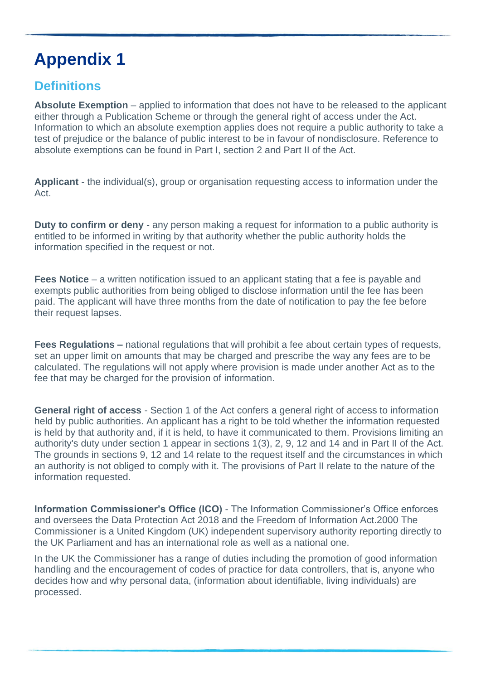# <span id="page-13-0"></span>**Definitions**

**Absolute Exemption** – applied to information that does not have to be released to the applicant either through a Publication Scheme or through the general right of access under the Act. Information to which an absolute exemption applies does not require a public authority to take a test of prejudice or the balance of public interest to be in favour of nondisclosure. Reference to absolute exemptions can be found in Part I, section 2 and Part II of the Act.

**Applicant** - the individual(s), group or organisation requesting access to information under the Act.

**Duty to confirm or deny** - any person making a request for information to a public authority is entitled to be informed in writing by that authority whether the public authority holds the information specified in the request or not.

**Fees Notice** – a written notification issued to an applicant stating that a fee is payable and exempts public authorities from being obliged to disclose information until the fee has been paid. The applicant will have three months from the date of notification to pay the fee before their request lapses.

**Fees Regulations –** national regulations that will prohibit a fee about certain types of requests, set an upper limit on amounts that may be charged and prescribe the way any fees are to be calculated. The regulations will not apply where provision is made under another Act as to the fee that may be charged for the provision of information.

**General right of access** - Section 1 of the Act confers a general right of access to information held by public authorities. An applicant has a right to be told whether the information requested is held by that authority and, if it is held, to have it communicated to them. Provisions limiting an authority's duty under section 1 appear in sections 1(3), 2, 9, 12 and 14 and in Part II of the Act. The grounds in sections 9, 12 and 14 relate to the request itself and the circumstances in which an authority is not obliged to comply with it. The provisions of Part II relate to the nature of the information requested.

**Information Commissioner's Office (ICO)** - The Information Commissioner's Office enforces and oversees the Data Protection Act 2018 and the Freedom of Information Act.2000 The Commissioner is a United Kingdom (UK) independent supervisory authority reporting directly to the UK Parliament and has an international role as well as a national one.

In the UK the Commissioner has a range of duties including the promotion of good information handling and the encouragement of codes of practice for data controllers, that is, anyone who decides how and why personal data, (information about identifiable, living individuals) are processed.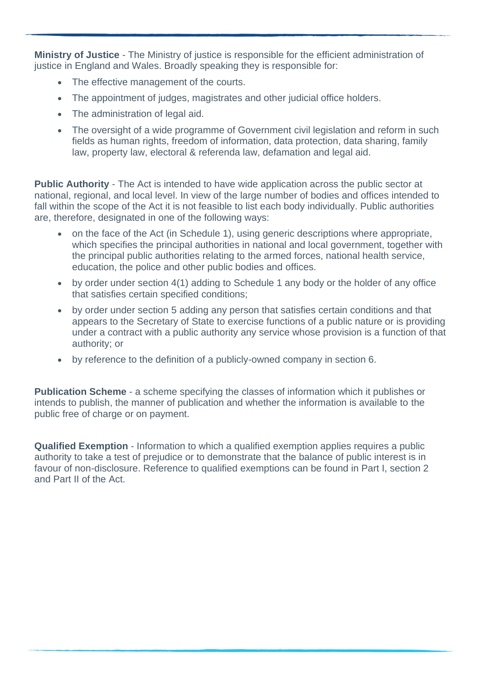**Ministry of Justice** - The Ministry of justice is responsible for the efficient administration of justice in England and Wales. Broadly speaking they is responsible for:

- The effective management of the courts.
- The appointment of judges, magistrates and other judicial office holders.
- The administration of legal aid.
- The oversight of a wide programme of Government civil legislation and reform in such fields as human rights, freedom of information, data protection, data sharing, family law, property law, electoral & referenda law, defamation and legal aid.

**Public Authority** - The Act is intended to have wide application across the public sector at national, regional, and local level. In view of the large number of bodies and offices intended to fall within the scope of the Act it is not feasible to list each body individually. Public authorities are, therefore, designated in one of the following ways:

- on the face of the Act (in Schedule 1), using generic descriptions where appropriate, which specifies the principal authorities in national and local government, together with the principal public authorities relating to the armed forces, national health service, education, the police and other public bodies and offices.
- by order under section 4(1) adding to Schedule 1 any body or the holder of any office that satisfies certain specified conditions;
- by order under section 5 adding any person that satisfies certain conditions and that appears to the Secretary of State to exercise functions of a public nature or is providing under a contract with a public authority any service whose provision is a function of that authority; or
- by reference to the definition of a publicly-owned company in section 6.

**Publication Scheme** - a scheme specifying the classes of information which it publishes or intends to publish, the manner of publication and whether the information is available to the public free of charge or on payment.

**Qualified Exemption** - Information to which a qualified exemption applies requires a public authority to take a test of prejudice or to demonstrate that the balance of public interest is in favour of non-disclosure. Reference to qualified exemptions can be found in Part I, section 2 and Part II of the Act.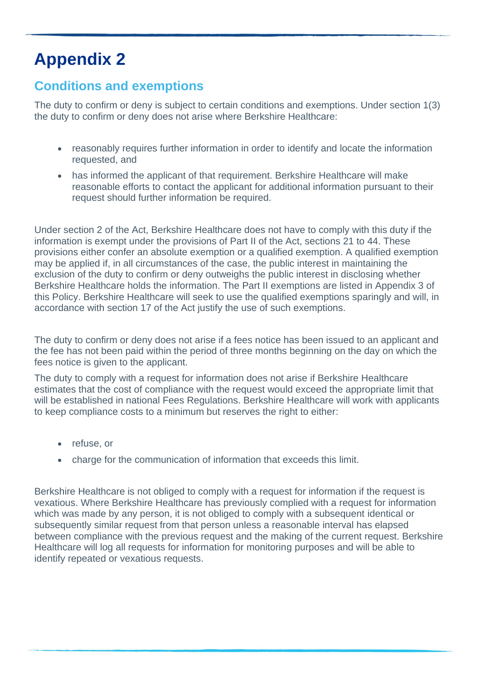# <span id="page-15-0"></span>**Conditions and exemptions**

The duty to confirm or deny is subject to certain conditions and exemptions. Under section 1(3) the duty to confirm or deny does not arise where Berkshire Healthcare:

- reasonably requires further information in order to identify and locate the information requested, and
- has informed the applicant of that requirement. Berkshire Healthcare will make reasonable efforts to contact the applicant for additional information pursuant to their request should further information be required.

Under section 2 of the Act, Berkshire Healthcare does not have to comply with this duty if the information is exempt under the provisions of Part II of the Act, sections 21 to 44. These provisions either confer an absolute exemption or a qualified exemption. A qualified exemption may be applied if, in all circumstances of the case, the public interest in maintaining the exclusion of the duty to confirm or deny outweighs the public interest in disclosing whether Berkshire Healthcare holds the information. The Part II exemptions are listed in Appendix 3 of this Policy. Berkshire Healthcare will seek to use the qualified exemptions sparingly and will, in accordance with section 17 of the Act justify the use of such exemptions.

The duty to confirm or deny does not arise if a fees notice has been issued to an applicant and the fee has not been paid within the period of three months beginning on the day on which the fees notice is given to the applicant.

The duty to comply with a request for information does not arise if Berkshire Healthcare estimates that the cost of compliance with the request would exceed the appropriate limit that will be established in national Fees Regulations. Berkshire Healthcare will work with applicants to keep compliance costs to a minimum but reserves the right to either:

- refuse, or
- charge for the communication of information that exceeds this limit.

Berkshire Healthcare is not obliged to comply with a request for information if the request is vexatious. Where Berkshire Healthcare has previously complied with a request for information which was made by any person, it is not obliged to comply with a subsequent identical or subsequently similar request from that person unless a reasonable interval has elapsed between compliance with the previous request and the making of the current request. Berkshire Healthcare will log all requests for information for monitoring purposes and will be able to identify repeated or vexatious requests.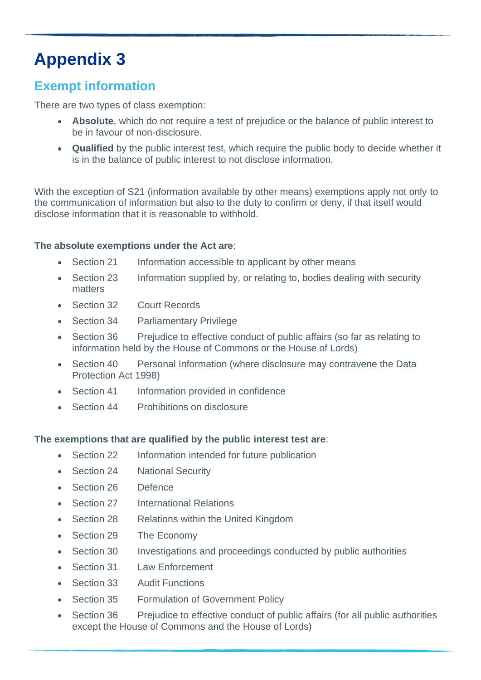# <span id="page-16-0"></span>**Exempt information**

There are two types of class exemption:

- **Absolute**, which do not require a test of prejudice or the balance of public interest to be in favour of non-disclosure.
- **Qualified** by the public interest test, which require the public body to decide whether it is in the balance of public interest to not disclose information.

With the exception of S21 (information available by other means) exemptions apply not only to the communication of information but also to the duty to confirm or deny, if that itself would disclose information that it is reasonable to withhold.

#### **The absolute exemptions under the Act are**:

- Section 21 Information accessible to applicant by other means
- Section 23 Information supplied by, or relating to, bodies dealing with security matters
- Section 32 Court Records
- Section 34 Parliamentary Privilege
- Section 36 Prejudice to effective conduct of public affairs (so far as relating to information held by the House of Commons or the House of Lords)
- Section 40 Personal Information (where disclosure may contravene the Data Protection Act 1998)
- Section 41 Information provided in confidence
- Section 44 Prohibitions on disclosure

#### **The exemptions that are qualified by the public interest test are**:

- Section 22 Information intended for future publication
- Section 24 National Security
- Section 26 Defence
- Section 27 International Relations
- Section 28 Relations within the United Kingdom
- Section 29 The Economy
- Section 30 Investigations and proceedings conducted by public authorities
- Section 31 Law Enforcement
- Section 33 Audit Functions
- Section 35 Formulation of Government Policy
- Section 36 Prejudice to effective conduct of public affairs (for all public authorities except the House of Commons and the House of Lords)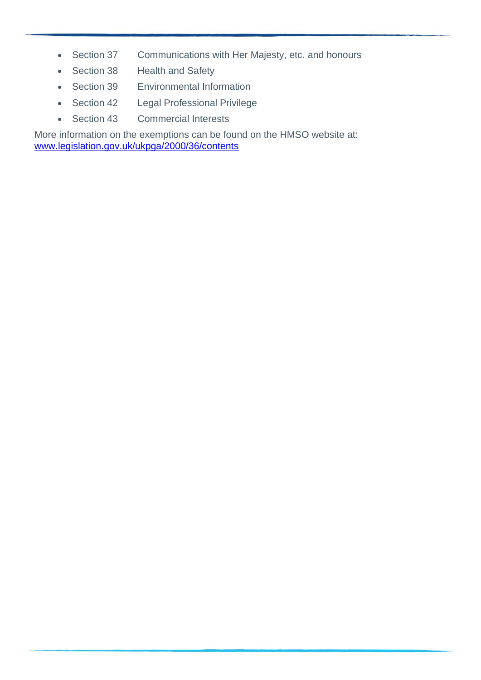- Section 37 Communications with Her Majesty, etc. and honours
- Section 38 Health and Safety
- Section 39 Environmental Information
- Section 42 Legal Professional Privilege
- Section 43 Commercial Interests

More information on the exemptions can be found on the HMSO website at: [www.legislation.gov.uk/ukpga/2000/36/contents](http://www.legislation.gov.uk/ukpga/2000/36/contents)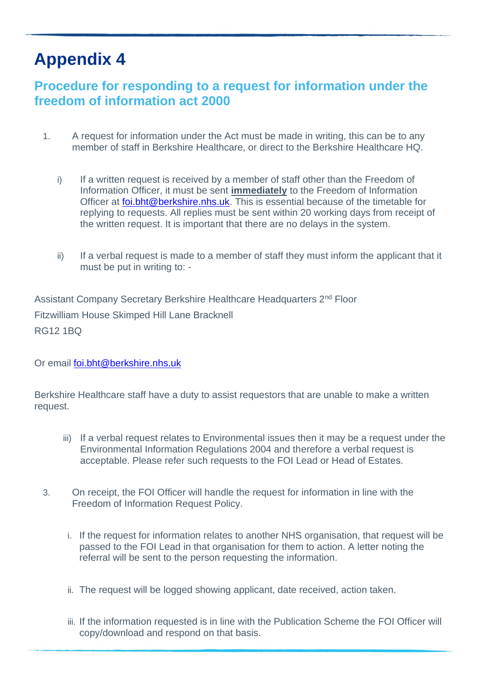# <span id="page-18-0"></span>**Procedure for responding to a request for information under the freedom of information act 2000**

- 1. A request for information under the Act must be made in writing, this can be to any member of staff in Berkshire Healthcare, or direct to the Berkshire Healthcare HQ.
	- i) If a written request is received by a member of staff other than the Freedom of Information Officer, it must be sent **immediately** to the Freedom of Information Officer at [foi.bht@berkshire.nhs.uk.](mailto:foi.bht@berkshire.nhs.uk) This is essential because of the timetable for replying to requests. All replies must be sent within 20 working days from receipt of the written request. It is important that there are no delays in the system.
	- ii) If a verbal request is made to a member of staff they must inform the applicant that it must be put in writing to: -

Assistant Company Secretary Berkshire Healthcare Headquarters 2nd Floor Fitzwilliam House Skimped Hill Lane Bracknell RG12 1BQ

Or email [foi.bht@berkshire.nhs.uk](mailto:foi.bht@berkshire.nhs.uk)

Berkshire Healthcare staff have a duty to assist requestors that are unable to make a written request.

- iii) If a verbal request relates to Environmental issues then it may be a request under the Environmental Information Regulations 2004 and therefore a verbal request is acceptable. Please refer such requests to the FOI Lead or Head of Estates.
- 3. On receipt, the FOI Officer will handle the request for information in line with the Freedom of Information Request Policy.
	- i. If the request for information relates to another NHS organisation, that request will be passed to the FOI Lead in that organisation for them to action. A letter noting the referral will be sent to the person requesting the information.
	- ii. The request will be logged showing applicant, date received, action taken.
	- iii. If the information requested is in line with the Publication Scheme the FOI Officer will copy/download and respond on that basis.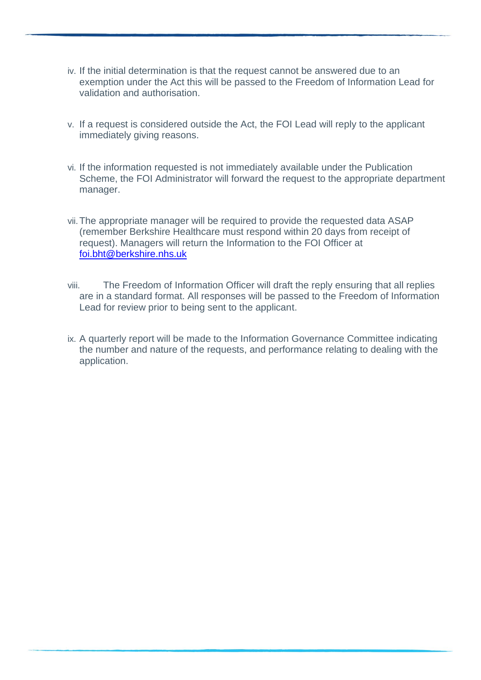- iv. If the initial determination is that the request cannot be answered due to an exemption under the Act this will be passed to the Freedom of Information Lead for validation and authorisation.
- v. If a request is considered outside the Act, the FOI Lead will reply to the applicant immediately giving reasons.
- vi. If the information requested is not immediately available under the Publication Scheme, the FOI Administrator will forward the request to the appropriate department manager.
- vii.The appropriate manager will be required to provide the requested data ASAP (remember Berkshire Healthcare must respond within 20 days from receipt of request). Managers will return the Information to the FOI Officer at [foi.bht@berkshire.nhs.uk](mailto:foi.bht@berkshire.nhs.uk)
- viii. The Freedom of Information Officer will draft the reply ensuring that all replies are in a standard format. All responses will be passed to the Freedom of Information Lead for review prior to being sent to the applicant.
- ix. A quarterly report will be made to the Information Governance Committee indicating the number and nature of the requests, and performance relating to dealing with the application.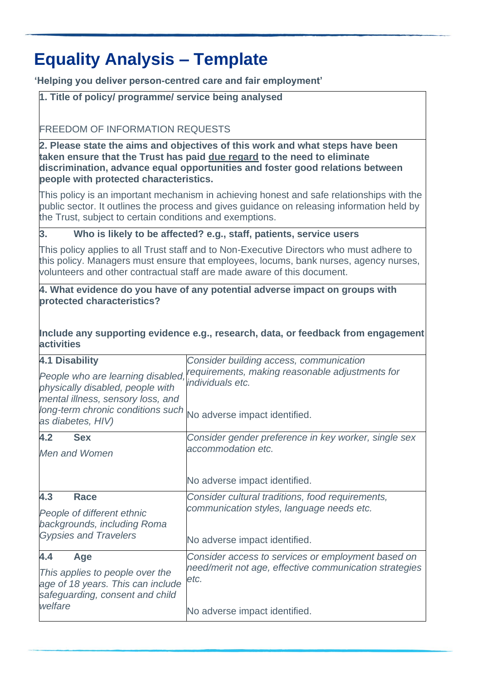# **Equality Analysis – Template**

<span id="page-20-0"></span>**'Helping you deliver person-centred care and fair employment'**

#### **1. Title of policy/ programme/ service being analysed**

#### FREEDOM OF INFORMATION REQUESTS

**2. Please state the aims and objectives of this work and what steps have been taken ensure that the Trust has paid due regard to the need to eliminate discrimination, advance equal opportunities and foster good relations between people with protected characteristics.**

This policy is an important mechanism in achieving honest and safe relationships with the public sector. It outlines the process and gives guidance on releasing information held by the Trust, subject to certain conditions and exemptions.

#### **3. Who is likely to be affected? e.g., staff, patients, service users**

This policy applies to all Trust staff and to Non-Executive Directors who must adhere to this policy. Managers must ensure that employees, locums, bank nurses, agency nurses, volunteers and other contractual staff are made aware of this document.

#### **4. What evidence do you have of any potential adverse impact on groups with protected characteristics?**

#### **Include any supporting evidence e.g., research, data, or feedback from engagement activities**

| <b>4.1 Disability</b><br>People who are learning disabled,<br>physically disabled, people with<br>mental illness, sensory loss, and<br>long-term chronic conditions such<br>as diabetes, HIV) | Consider building access, communication<br>requirements, making reasonable adjustments for<br>individuals etc.<br>No adverse impact identified.       |
|-----------------------------------------------------------------------------------------------------------------------------------------------------------------------------------------------|-------------------------------------------------------------------------------------------------------------------------------------------------------|
| 4.2<br><b>Sex</b><br>Men and Women                                                                                                                                                            | Consider gender preference in key worker, single sex<br>accommodation etc.<br>No adverse impact identified.                                           |
| 4.3<br><b>Race</b><br>People of different ethnic<br>backgrounds, including Roma<br><b>Gypsies and Travelers</b>                                                                               | Consider cultural traditions, food requirements,<br>communication styles, language needs etc.<br>No adverse impact identified.                        |
| 4.4<br>Age<br>This applies to people over the<br>age of 18 years. This can include<br>safeguarding, consent and child<br>welfare                                                              | Consider access to services or employment based on<br>need/merit not age, effective communication strategies<br>etc.<br>No adverse impact identified. |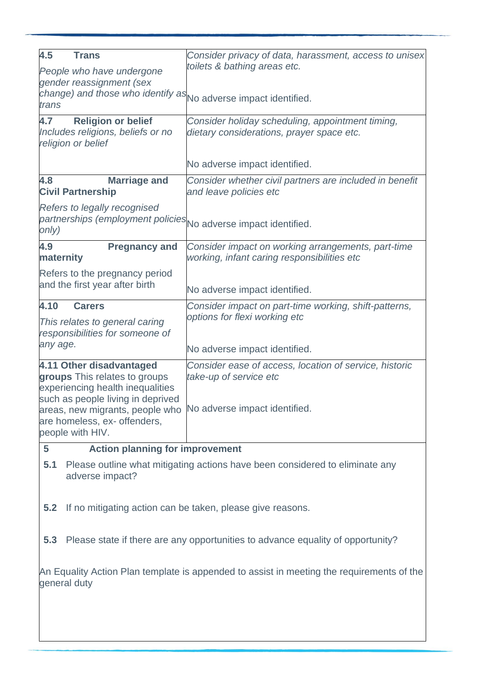| 4.5<br><b>Trans</b><br>People who have undergone                                                                         | Consider privacy of data, harassment, access to unisex<br>toilets & bathing areas etc.            |  |  |
|--------------------------------------------------------------------------------------------------------------------------|---------------------------------------------------------------------------------------------------|--|--|
| gender reassignment (sex                                                                                                 |                                                                                                   |  |  |
| change) and those who identify as No adverse impact identified.<br>trans                                                 |                                                                                                   |  |  |
| 4.7<br><b>Religion or belief</b><br>Includes religions, beliefs or no<br>religion or belief                              | Consider holiday scheduling, appointment timing,<br>dietary considerations, prayer space etc.     |  |  |
|                                                                                                                          | No adverse impact identified.                                                                     |  |  |
| 4.8<br><b>Marriage and</b><br><b>Civil Partnership</b>                                                                   | Consider whether civil partners are included in benefit<br>and leave policies etc                 |  |  |
| Refers to legally recognised<br>partnerships (employment policies No adverse impact identified.<br>only)                 |                                                                                                   |  |  |
| 4.9<br><b>Pregnancy and</b><br>maternity                                                                                 | Consider impact on working arrangements, part-time<br>working, infant caring responsibilities etc |  |  |
| Refers to the pregnancy period                                                                                           |                                                                                                   |  |  |
| and the first year after birth                                                                                           | No adverse impact identified.                                                                     |  |  |
| 4.10<br><b>Carers</b>                                                                                                    | Consider impact on part-time working, shift-patterns,                                             |  |  |
| This relates to general caring<br>responsibilities for someone of                                                        | options for flexi working etc                                                                     |  |  |
| any age.                                                                                                                 | No adverse impact identified.                                                                     |  |  |
| 4.11 Other disadvantaged<br>groups This relates to groups<br>experiencing health inequalities                            | Consider ease of access, location of service, historic<br>take-up of service etc                  |  |  |
| such as people living in deprived<br>areas, new migrants, people who<br>are homeless, ex- offenders,<br>people with HIV. | No adverse impact identified.                                                                     |  |  |
| <b>Action planning for improvement</b><br>5                                                                              |                                                                                                   |  |  |
| 5.1<br>adverse impact?                                                                                                   | Please outline what mitigating actions have been considered to eliminate any                      |  |  |
| 5.2<br>If no mitigating action can be taken, please give reasons.                                                        |                                                                                                   |  |  |
| 5.3                                                                                                                      | Please state if there are any opportunities to advance equality of opportunity?                   |  |  |
| An Equality Action Plan template is appended to assist in meeting the requirements of the<br>general duty                |                                                                                                   |  |  |